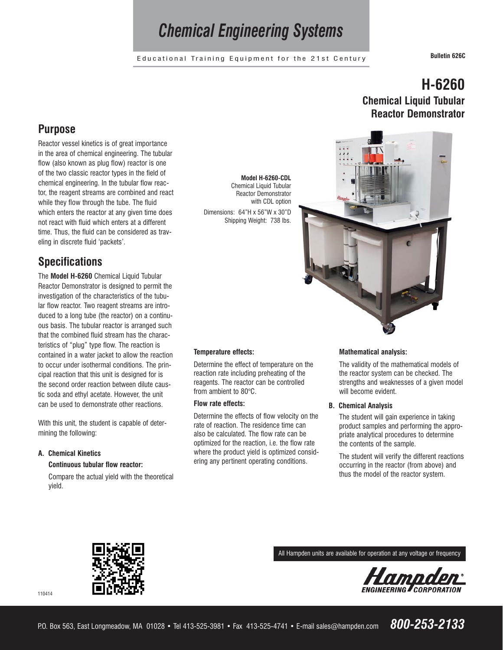# *Chemical Engineering Systems*

Educational Training Equipment for the 21st Century **Bulletin 626C**

### **Purpose**

Reactor vessel kinetics is of great importance in the area of chemical engineering. The tubular flow (also known as plug flow) reactor is one of the two classic reactor types in the field of chemical engineering. In the tubular flow reactor, the reagent streams are combined and react while they flow through the tube. The fluid which enters the reactor at any given time does not react with fluid which enters at a different time. Thus, the fluid can be considered as traveling in discrete fluid 'packets'.

# **Specifications**

The **Model H-6260** Chemical Liquid Tubular Reactor Demonstrator is designed to permit the investigation of the characteristics of the tubular flow reactor. Two reagent streams are introduced to a long tube (the reactor) on a continuous basis. The tubular reactor is arranged such that the combined fluid stream has the characteristics of "plug" type flow. The reaction is contained in a water jacket to allow the reaction to occur under isothermal conditions. The principal reaction that this unit is designed for is the second order reaction between dilute caustic soda and ethyl acetate. However, the unit can be used to demonstrate other reactions.

With this unit, the student is capable of determining the following:

#### **A. Chemical Kinetics Continuous tubular flow reactor:**

Compare the actual yield with the theoretical yield.

**Model H-6260-CDL** Chemical Liquid Tubular Reactor Demonstrator with CDL option Dimensions: 64"H x 56"W x 30"D Shipping Weight: 738 lbs.

#### **Temperature effects:**

Determine the effect of temperature on the reaction rate including preheating of the reagents. The reactor can be controlled from ambient to 80°C.

#### **Flow rate effects:**

Determine the effects of flow velocity on the rate of reaction. The residence time can also be calculated. The flow rate can be optimized for the reaction, i.e. the flow rate where the product yield is optimized considering any pertinent operating conditions.





#### **Mathematical analysis:**

The validity of the mathematical models of the reactor system can be checked. The strengths and weaknesses of a given model will become evident.

#### **B. Chemical Analysis**

The student will gain experience in taking product samples and performing the appropriate analytical procedures to determine the contents of the sample.

The student will verify the different reactions occurring in the reactor (from above) and thus the model of the reactor system.



All Hampden units are available for operation at any voltage or frequency